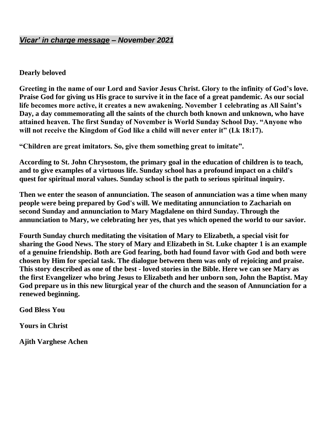### *Vicar' in charge message – November 2021*

### **Dearly beloved**

**Greeting in the name of our Lord and Savior Jesus Christ. Glory to the infinity of God's love. Praise God for giving us His grace to survive it in the face of a great pandemic. As our social life becomes more active, it creates a new awakening. November 1 celebrating as All Saint's Day, a day commemorating all the saints of the church both known and unknown, who have attained heaven. The first Sunday of November is World Sunday School Day. "Anyone who will not receive the Kingdom of God like a child will never enter it" (Lk 18:17).**

**"Children are great imitators. So, give them something great to imitate".**

**According to St. John Chrysostom, the primary goal in the education of children is to teach, and to give examples of a virtuous life. Sunday school has a profound impact on a child's quest for spiritual moral values. Sunday school is the path to serious spiritual inquiry.**

**Then we enter the season of annunciation. The season of annunciation was a time when many people were being prepared by God's will. We meditating annunciation to Zachariah on second Sunday and annunciation to Mary Magdalene on third Sunday. Through the annunciation to Mary, we celebrating her yes, that yes which opened the world to our savior.**

**Fourth Sunday church meditating the visitation of Mary to Elizabeth, a special visit for sharing the Good News. The story of Mary and Elizabeth in St. Luke chapter 1 is an example of a genuine friendship. Both are God fearing, both had found favor with God and both were chosen by Him for special task. The dialogue between them was only of rejoicing and praise. This story described as one of the best - loved stories in the Bible. Here we can see Mary as the first Evangelizer who bring Jesus to Elizabeth and her unborn son, John the Baptist. May God prepare us in this new liturgical year of the church and the season of Annunciation for a renewed beginning.**

**God Bless You**

**Yours in Christ**

**Ajith Varghese Achen**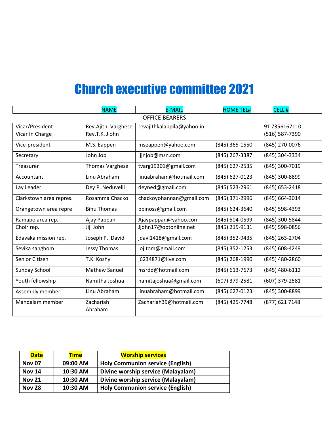# Church executive committee 2021

|                         | <b>NAME</b>            | <b>E-MAIL</b>              | <b>HOME TEL#</b> | CELL#            |
|-------------------------|------------------------|----------------------------|------------------|------------------|
| <b>OFFICE BEARERS</b>   |                        |                            |                  |                  |
| Vicar/President         | Rev.Ajith Varghese     | revajithkalappila@yahoo.in |                  | 91 7356167110    |
| Vicar In Charge         | Rev.T.K. Jiohn         |                            |                  | (516) 587-7390   |
| Vice-president          | M.S. Eappen            | mseappen@yahoo.com         | (845) 365-1550   | (845) 270-0076   |
| Secretary               | John Job               | jjjnjob@msn.com            | (845) 267-3387   | (845) 304-3334   |
| Treasurer               | <b>Thomas Varghese</b> | tvarg19301@gmail.com       | (845) 627-2535   | (845) 300-7019   |
| Accountant              | Linu Abraham           | linuabraham@hotmail.com    | (845) 627-0123   | (845) 300-8899   |
| Lay Leader              | Dey P. Neduvelil       | deyned@gmail.com           | (845) 523-2961   | (845) 653-2418   |
| Clarkstown area repres. | Rosamma Chacko         | chackoyohannan@gmail.com   | (845) 371-2996   | (845) 664-3014   |
| Orangetown area repre   | <b>Binu Thomas</b>     | bbinoss@gmail.com          | (845) 624-3640   | (845) 598-4393   |
| Ramapo area rep.        | Ajay Pappan            | Ajaypappan@yahoo.com       | (845) 504-0599   | (845) 300-5844   |
| Choir rep.              | Jiji John              | Jjohn17@optonline.net      | (845) 215-9131   | (845) 598-0856   |
| Edavaka mission rep.    | Joseph P. David        | jdavi1418@gmail.com        | (845) 352-9435   | (845) 263-2704   |
| Sevika sanghom          | <b>Jessy Thomas</b>    | jojitom@gmail.com          | (845) 352-1253   | (845) 608-4249   |
| Senior Citizen          | T.K. Koshy             | j6234871@live.com          | (845) 268-1990   | (845) 480-2860   |
| Sunday School           | <b>Mathew Sanuel</b>   | msrdd@hotmail.com          | (845) 613-7673   | $(845)$ 480-6112 |
| Youth fellowship        | Namitha Joshua         | namitajoshua@gmail.com     | (607) 379-2581   | (607) 379-2581   |
| Assembly member         | Linu Abraham           | linuabraham@hotmail.com    | (845) 627-0123   | (845) 300-8899   |
| Mandalam member         | Zachariah<br>Abraham   | Zachariah39@hotmail.com    | (845) 425-7748   | (877) 621 7148   |

| <b>Date</b>   | Time     | <b>Worship services</b>                 |  |
|---------------|----------|-----------------------------------------|--|
| <b>Nov 07</b> | 09:00 AM | <b>Holy Communion service (English)</b> |  |
| <b>Nov 14</b> | 10:30 AM | Divine worship service (Malayalam)      |  |
| <b>Nov 21</b> | 10:30 AM | Divine worship service (Malayalam)      |  |
| <b>Nov 28</b> | 10:30 AM | <b>Holy Communion service (English)</b> |  |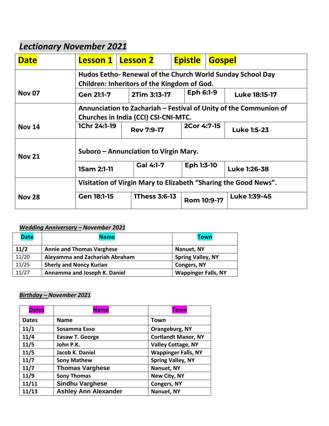## *Lectionary November 2021*

| <b>Date</b>                                            | <b>Lesson 1</b>                                                                                           | <b>Lesson 2</b>                                                                                           | <b>Epistle</b> | <b>Gospel</b> |                      |
|--------------------------------------------------------|-----------------------------------------------------------------------------------------------------------|-----------------------------------------------------------------------------------------------------------|----------------|---------------|----------------------|
|                                                        |                                                                                                           | Hudos Eetho- Renewal of the Church World Sunday School Day<br>Children: Inheritors of the Kingdom of God. |                |               |                      |
| <b>Nov 07</b>                                          | <b>Gen 21:1-7</b>                                                                                         | 2Tim 3:13-17                                                                                              | Eph 6:1-9      |               | <b>Luke 18:15-17</b> |
|                                                        | Annunciation to Zachariah - Festival of Unity of the Communion of<br>Churches in India (CCI) CSI-CNI-MTC. |                                                                                                           |                |               |                      |
| <b>Nov 14</b>                                          | <b>1Chr 24:1-19</b>                                                                                       | <b>Rev 7:9-17</b>                                                                                         | 2Cor 4:7-15    |               | <b>Luke 1:5-23</b>   |
| Suboro – Annunciation to Virgin Mary.<br><b>Nov 21</b> |                                                                                                           |                                                                                                           |                |               |                      |
|                                                        | <b>1Sam 2:1-11</b>                                                                                        | Gal 4:1-7                                                                                                 | Eph 1:3-10     |               | Luke 1:26-38         |
|                                                        |                                                                                                           | Visitation of Virgin Mary to Elizabeth "Sharing the Good News".                                           |                |               |                      |
| <b>Nov 28</b>                                          | Gen 18:1-15                                                                                               | <b>1Thess 3:6-13</b>                                                                                      | Rom 10:9-17    |               | Luke 1:39-45         |

### *Wedding Anniversary – November 2021*

| <b>Date</b> | <b>Name</b>                      | <b>Town</b>                |
|-------------|----------------------------------|----------------------------|
| 11/2        | <b>Annie and Thomas Varghese</b> | Nanuet, NY                 |
| 11/20       | Aleyamma and Zachariah Abraham   | <b>Spring Valley, NY</b>   |
| 11/25       | <b>Sherly and Noncy Kurian</b>   | <b>Congers, NY</b>         |
| 11/27       | Annamma and Joseph K. Daniel     | <b>Wappinger Falls, NY</b> |

### *Birthday – November 2021*

| <b>Dates</b> | <b>Name</b>                 | <b>Town</b>                |
|--------------|-----------------------------|----------------------------|
| <b>Dates</b> | <b>Name</b>                 | Town                       |
| 11/1         | Sosamma Easo                | Orangeburg, NY             |
| 11/4         | <b>Easaw T. George</b>      | <b>Cortlandt Manor, NY</b> |
| 11/5         | John P.K.                   | <b>Valley Cottage, NY</b>  |
| 11/5         | Jacob K. Daniel             | <b>Wappinger Falls, NY</b> |
| 11/7         | <b>Sony Mathew</b>          | <b>Spring Valley, NY</b>   |
| 11/7         | <b>Thomas Varghese</b>      | Nanuet, NY                 |
| 11/9         | <b>Sony Thomas</b>          | New City, NY               |
| 11/11        | <b>Sindhu Varghese</b>      | <b>Congers, NY</b>         |
| 11/13        | <b>Ashley Ann Alexander</b> | Nanuet, NY                 |